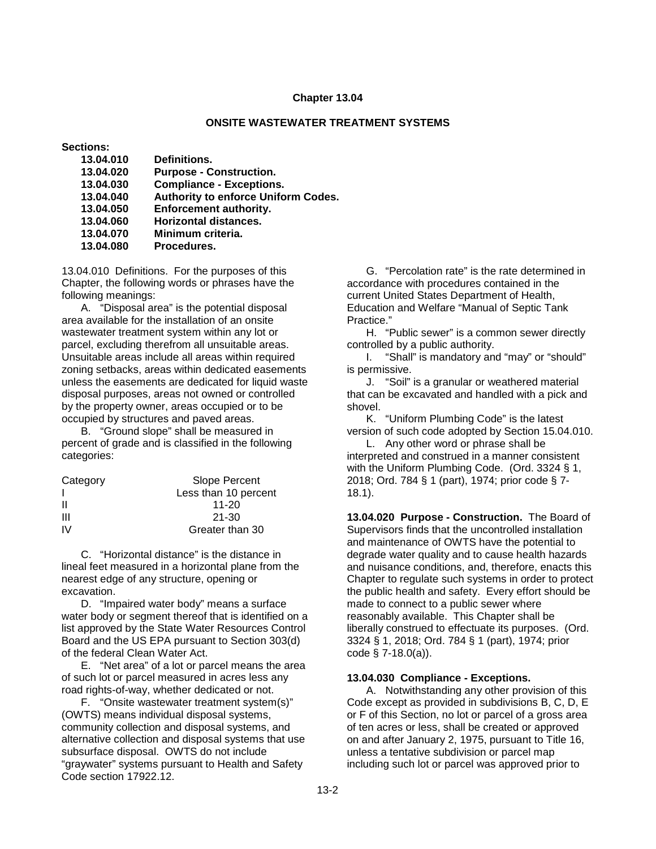### **Chapter 13.04**

### **ONSITE WASTEWATER TREATMENT SYSTEMS**

**Sections:**

| 13.04.010 | Definitions.                        |
|-----------|-------------------------------------|
| 13.04.020 | <b>Purpose - Construction.</b>      |
| 13.04.030 | <b>Compliance - Exceptions.</b>     |
| 13.04.040 | Authority to enforce Uniform Codes. |
| 13.04.050 | <b>Enforcement authority.</b>       |
| 13.04.060 | <b>Horizontal distances.</b>        |
| 13.04.070 | Minimum criteria.                   |
| 13.04.080 | Procedures.                         |

13.04.010 Definitions. For the purposes of this Chapter, the following words or phrases have the following meanings:

A. "Disposal area" is the potential disposal area available for the installation of an onsite wastewater treatment system within any lot or parcel, excluding therefrom all unsuitable areas. Unsuitable areas include all areas within required zoning setbacks, areas within dedicated easements unless the easements are dedicated for liquid waste disposal purposes, areas not owned or controlled by the property owner, areas occupied or to be occupied by structures and paved areas.

B. "Ground slope" shall be measured in percent of grade and is classified in the following categories:

| Category | Slope Percent        |
|----------|----------------------|
|          | Less than 10 percent |
| H        | $11 - 20$            |
| Ш        | 21-30                |
| IV.      | Greater than 30      |

C. "Horizontal distance" is the distance in lineal feet measured in a horizontal plane from the nearest edge of any structure, opening or excavation.

D. "Impaired water body" means a surface water body or segment thereof that is identified on a list approved by the State Water Resources Control Board and the US EPA pursuant to Section 303(d) of the federal Clean Water Act.

E. "Net area" of a lot or parcel means the area of such lot or parcel measured in acres less any road rights-of-way, whether dedicated or not.

F. "Onsite wastewater treatment system(s)" (OWTS) means individual disposal systems, community collection and disposal systems, and alternative collection and disposal systems that use subsurface disposal. OWTS do not include "graywater" systems pursuant to Health and Safety Code section 17922.12.

G. "Percolation rate" is the rate determined in accordance with procedures contained in the current United States Department of Health, Education and Welfare "Manual of Septic Tank Practice."

H. "Public sewer" is a common sewer directly controlled by a public authority.

I. "Shall" is mandatory and "may" or "should" is permissive.

J. "Soil" is a granular or weathered material that can be excavated and handled with a pick and shovel.

K. "Uniform Plumbing Code" is the latest version of such code adopted by Section 15.04.010.

L. Any other word or phrase shall be interpreted and construed in a manner consistent with the Uniform Plumbing Code. (Ord. 3324 § 1, 2018; Ord. 784 § 1 (part), 1974; prior code § 7- 18.1).

**13.04.020 Purpose - Construction.** The Board of Supervisors finds that the uncontrolled installation and maintenance of OWTS have the potential to degrade water quality and to cause health hazards and nuisance conditions, and, therefore, enacts this Chapter to regulate such systems in order to protect the public health and safety. Every effort should be made to connect to a public sewer where reasonably available. This Chapter shall be liberally construed to effectuate its purposes. (Ord. 3324 § 1, 2018; Ord. 784 § 1 (part), 1974; prior code § 7-18.0(a)).

### **13.04.030 Compliance - Exceptions.**

A. Notwithstanding any other provision of this Code except as provided in subdivisions B, C, D, E or F of this Section, no lot or parcel of a gross area of ten acres or less, shall be created or approved on and after January 2, 1975, pursuant to Title 16, unless a tentative subdivision or parcel map including such lot or parcel was approved prior to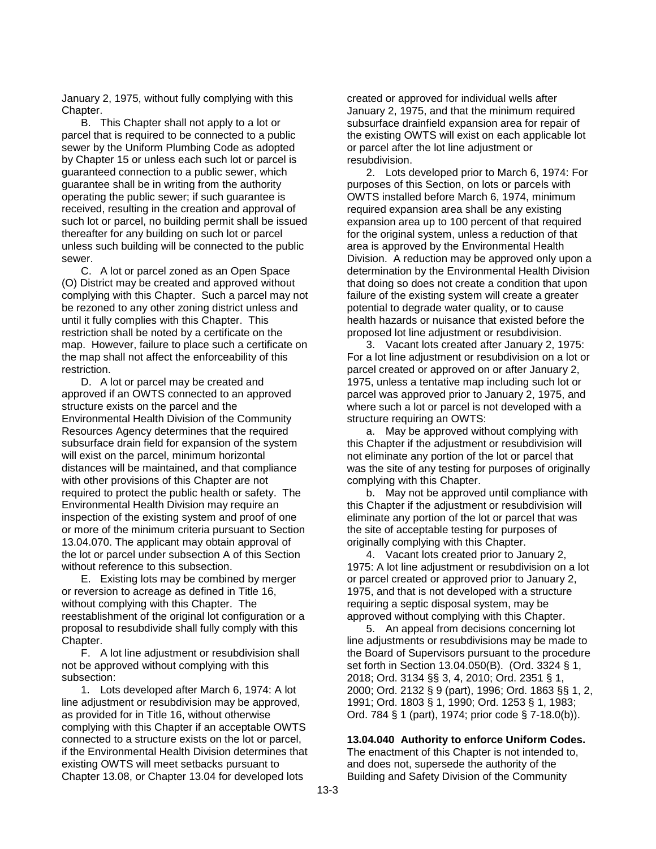January 2, 1975, without fully complying with this Chapter.

B. This Chapter shall not apply to a lot or parcel that is required to be connected to a public sewer by the Uniform Plumbing Code as adopted by Chapter 15 or unless each such lot or parcel is guaranteed connection to a public sewer, which guarantee shall be in writing from the authority operating the public sewer; if such guarantee is received, resulting in the creation and approval of such lot or parcel, no building permit shall be issued thereafter for any building on such lot or parcel unless such building will be connected to the public sewer.

C. A lot or parcel zoned as an Open Space (O) District may be created and approved without complying with this Chapter. Such a parcel may not be rezoned to any other zoning district unless and until it fully complies with this Chapter. This restriction shall be noted by a certificate on the map. However, failure to place such a certificate on the map shall not affect the enforceability of this restriction.

D. A lot or parcel may be created and approved if an OWTS connected to an approved structure exists on the parcel and the Environmental Health Division of the Community Resources Agency determines that the required subsurface drain field for expansion of the system will exist on the parcel, minimum horizontal distances will be maintained, and that compliance with other provisions of this Chapter are not required to protect the public health or safety. The Environmental Health Division may require an inspection of the existing system and proof of one or more of the minimum criteria pursuant to Section 13.04.070. The applicant may obtain approval of the lot or parcel under subsection A of this Section without reference to this subsection.

E. Existing lots may be combined by merger or reversion to acreage as defined in Title 16, without complying with this Chapter. The reestablishment of the original lot configuration or a proposal to resubdivide shall fully comply with this Chapter.

F. A lot line adjustment or resubdivision shall not be approved without complying with this subsection:

1. Lots developed after March 6, 1974: A lot line adjustment or resubdivision may be approved, as provided for in Title 16, without otherwise complying with this Chapter if an acceptable OWTS connected to a structure exists on the lot or parcel, if the Environmental Health Division determines that existing OWTS will meet setbacks pursuant to Chapter 13.08, or Chapter 13.04 for developed lots

created or approved for individual wells after January 2, 1975, and that the minimum required subsurface drainfield expansion area for repair of the existing OWTS will exist on each applicable lot or parcel after the lot line adjustment or resubdivision.

2. Lots developed prior to March 6, 1974: For purposes of this Section, on lots or parcels with OWTS installed before March 6, 1974, minimum required expansion area shall be any existing expansion area up to 100 percent of that required for the original system, unless a reduction of that area is approved by the Environmental Health Division. A reduction may be approved only upon a determination by the Environmental Health Division that doing so does not create a condition that upon failure of the existing system will create a greater potential to degrade water quality, or to cause health hazards or nuisance that existed before the proposed lot line adjustment or resubdivision.

3. Vacant lots created after January 2, 1975: For a lot line adjustment or resubdivision on a lot or parcel created or approved on or after January 2, 1975, unless a tentative map including such lot or parcel was approved prior to January 2, 1975, and where such a lot or parcel is not developed with a structure requiring an OWTS:

a. May be approved without complying with this Chapter if the adjustment or resubdivision will not eliminate any portion of the lot or parcel that was the site of any testing for purposes of originally complying with this Chapter.

b. May not be approved until compliance with this Chapter if the adjustment or resubdivision will eliminate any portion of the lot or parcel that was the site of acceptable testing for purposes of originally complying with this Chapter.

4. Vacant lots created prior to January 2, 1975: A lot line adjustment or resubdivision on a lot or parcel created or approved prior to January 2, 1975, and that is not developed with a structure requiring a septic disposal system, may be approved without complying with this Chapter.

5. An appeal from decisions concerning lot line adjustments or resubdivisions may be made to the Board of Supervisors pursuant to the procedure set forth in Section 13.04.050(B). (Ord. 3324 § 1, 2018; Ord. 3134 §§ 3, 4, 2010; Ord. 2351 § 1, 2000; Ord. 2132 § 9 (part), 1996; Ord. 1863 §§ 1, 2, 1991; Ord. 1803 § 1, 1990; Ord. 1253 § 1, 1983; Ord. 784 § 1 (part), 1974; prior code § 7-18.0(b)).

# **13.04.040 Authority to enforce Uniform Codes.**

The enactment of this Chapter is not intended to, and does not, supersede the authority of the Building and Safety Division of the Community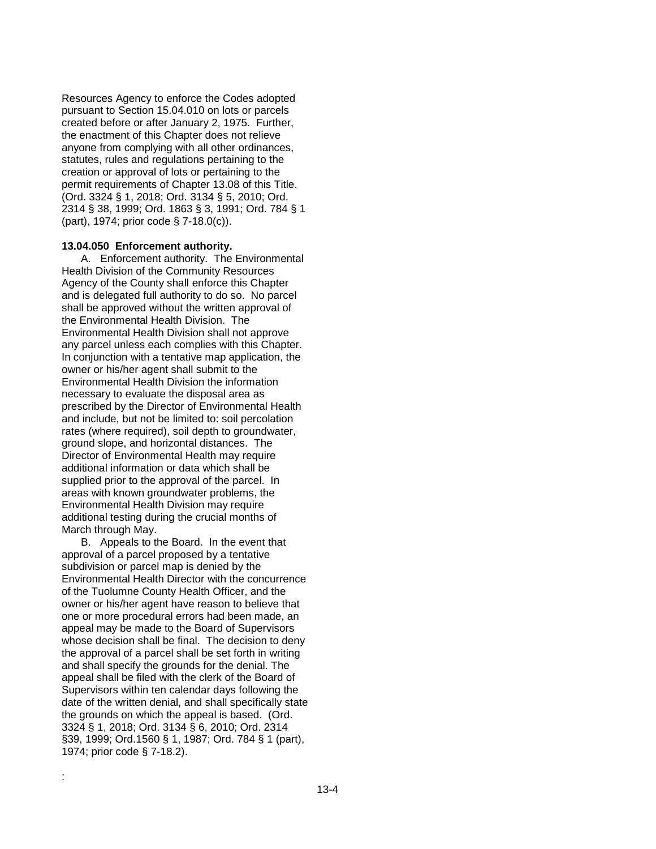Resources Agency to enforce the Codes adopted pursuant to Section 15.04.010 on lots or parcels created before or after January 2, 1975. Further, the enactment of this Chapter does not relieve anyone from complying with all other ordinances, statutes, rules and regulations pertaining to the creation or approval of lots or pertaining to the permit requirements of Chapter 13.08 of this Title. (Ord. 3324 § 1, 2018; Ord. 3134 § 5, 2010; Ord. 2314 § 38, 1999; Ord. 1863 § 3, 1991; Ord. 784 § 1 (part), 1974; prior code § 7-18.0(c)).

### **13.04.050 Enforcement authority.**

A. Enforcement authority. The Environmental Health Division of the Community Resources Agency of the County shall enforce this Chapter and is delegated full authority to do so. No parcel shall be approved without the written approval of the Environmental Health Division. The Environmental Health Division shall not approve any parcel unless each complies with this Chapter. In conjunction with a tentative map application, the owner or his/her agent shall submit to the Environmental Health Division the information necessary to evaluate the disposal area as prescribed by the Director of Environmental Health and include, but not be limited to: soil percolation rates (where required), soil depth to groundwater, ground slope, and horizontal distances. The Director of Environmental Health may require additional information or data which shall be supplied prior to the approval of the parcel. In areas with known groundwater problems, the Environmental Health Division may require additional testing during the crucial months of March through May.

B. Appeals to the Board. In the event that approval of a parcel proposed by a tentative subdivision or parcel map is denied by the Environmental Health Director with the concurrence of the Tuolumne County Health Officer, and the owner or his/her agent have reason to believe that one or more procedural errors had been made, an appeal may be made to the Board of Supervisors whose decision shall be final. The decision to deny the approval of a parcel shall be set forth in writing and shall specify the grounds for the denial. The appeal shall be filed with the clerk of the Board of Supervisors within ten calendar days following the date of the written denial, and shall specifically state the grounds on which the appeal is based. (Ord. 3324 § 1, 2018; Ord. 3134 § 6, 2010; Ord. 2314 §39, 1999; Ord.1560 § 1, 1987; Ord. 784 § 1 (part), 1974; prior code § 7-18.2).

: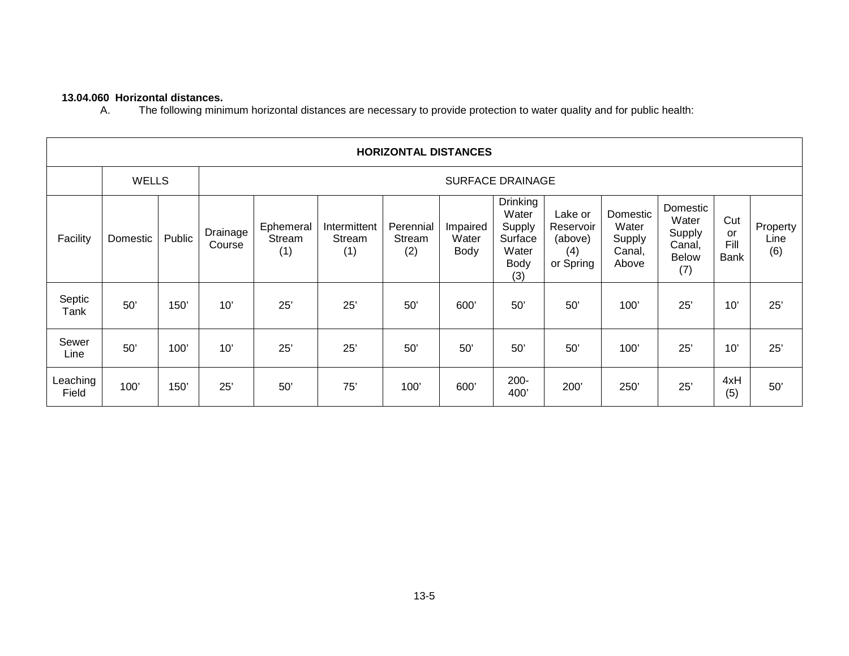# **13.04.060 Horizontal distances.**

The following minimum horizontal distances are necessary to provide protection to water quality and for public health:

| <b>HORIZONTAL DISTANCES</b> |          |                  |                    |                            |                               |                            |                           |                                                                              |                                                     |                                                |                                                       |                                  |                         |
|-----------------------------|----------|------------------|--------------------|----------------------------|-------------------------------|----------------------------|---------------------------|------------------------------------------------------------------------------|-----------------------------------------------------|------------------------------------------------|-------------------------------------------------------|----------------------------------|-------------------------|
| <b>WELLS</b>                |          | SURFACE DRAINAGE |                    |                            |                               |                            |                           |                                                                              |                                                     |                                                |                                                       |                                  |                         |
| Facility                    | Domestic | Public           | Drainage<br>Course | Ephemeral<br>Stream<br>(1) | Intermittent<br>Stream<br>(1) | Perennial<br>Stream<br>(2) | Impaired<br>Water<br>Body | <b>Drinking</b><br>Water<br>Supply<br>Surface<br>Water<br><b>Body</b><br>(3) | Lake or<br>Reservoir<br>(above)<br>(4)<br>or Spring | Domestic<br>Water<br>Supply<br>Canal,<br>Above | Domestic<br>Water<br>Supply<br>Canal,<br>Below<br>(7) | Cut<br>or<br>Fill<br><b>Bank</b> | Property<br>Line<br>(6) |
| Septic<br>Tank              | 50'      | 150'             | 10'                | 25'                        | 25'                           | 50'                        | 600'                      | 50'                                                                          | 50'                                                 | 100'                                           | 25'                                                   | 10'                              | 25'                     |
| Sewer<br>Line               | 50'      | 100'             | 10'                | 25'                        | 25'                           | 50'                        | 50'                       | 50'                                                                          | 50'                                                 | 100'                                           | 25'                                                   | 10'                              | 25'                     |
| Leaching<br>Field           | 100'     | 150'             | 25'                | 50'                        | 75'                           | 100'                       | 600'                      | 200-<br>400'                                                                 | 200'                                                | 250'                                           | 25'                                                   | 4xH<br>(5)                       | 50'                     |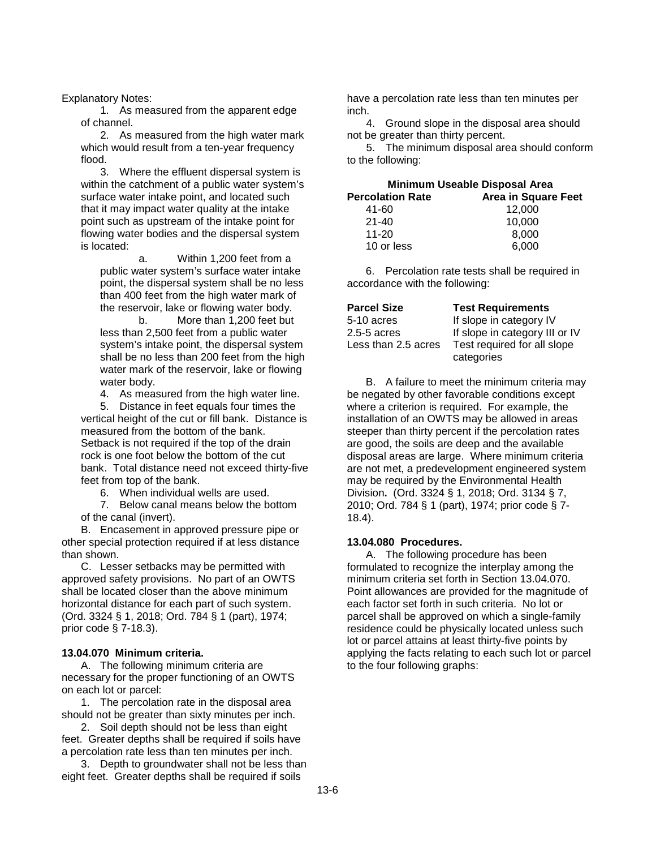### Explanatory Notes:

1. As measured from the apparent edge of channel.

2. As measured from the high water mark which would result from a ten-year frequency flood.

3. Where the effluent dispersal system is within the catchment of a public water system's surface water intake point, and located such that it may impact water quality at the intake point such as upstream of the intake point for flowing water bodies and the dispersal system is located:

a. Within 1,200 feet from a public water system's surface water intake point, the dispersal system shall be no less than 400 feet from the high water mark of the reservoir, lake or flowing water body.

b. More than 1,200 feet but less than 2,500 feet from a public water system's intake point, the dispersal system shall be no less than 200 feet from the high water mark of the reservoir, lake or flowing water body.

4. As measured from the high water line.

5. Distance in feet equals four times the vertical height of the cut or fill bank. Distance is measured from the bottom of the bank. Setback is not required if the top of the drain rock is one foot below the bottom of the cut bank. Total distance need not exceed thirty-five feet from top of the bank.

6. When individual wells are used.

7. Below canal means below the bottom of the canal (invert).

B. Encasement in approved pressure pipe or other special protection required if at less distance than shown.

C. Lesser setbacks may be permitted with approved safety provisions. No part of an OWTS shall be located closer than the above minimum horizontal distance for each part of such system. (Ord. 3324 § 1, 2018; Ord. 784 § 1 (part), 1974; prior code § 7-18.3).

## **13.04.070 Minimum criteria.**

A. The following minimum criteria are necessary for the proper functioning of an OWTS on each lot or parcel:

1. The percolation rate in the disposal area should not be greater than sixty minutes per inch.

2. Soil depth should not be less than eight feet. Greater depths shall be required if soils have a percolation rate less than ten minutes per inch.

3. Depth to groundwater shall not be less than eight feet. Greater depths shall be required if soils

have a percolation rate less than ten minutes per inch.

4. Ground slope in the disposal area should not be greater than thirty percent.

5. The minimum disposal area should conform to the following:

| <b>Minimum Useable Disposal Area</b> |                            |  |  |  |
|--------------------------------------|----------------------------|--|--|--|
| <b>Percolation Rate</b>              | <b>Area in Square Feet</b> |  |  |  |
| 41-60                                | 12,000                     |  |  |  |
| $21 - 40$                            | 10.000                     |  |  |  |
| $11 - 20$                            | 8.000                      |  |  |  |
| 10 or less                           | 6,000                      |  |  |  |

6. Percolation rate tests shall be required in accordance with the following:

| <b>Parcel Size</b>  | <b>Test Requirements</b>       |
|---------------------|--------------------------------|
| 5-10 acres          | If slope in category IV        |
| 2.5-5 acres         | If slope in category III or IV |
| Less than 2.5 acres | Test required for all slope    |
|                     | categories                     |

B. A failure to meet the minimum criteria may be negated by other favorable conditions except where a criterion is required. For example, the installation of an OWTS may be allowed in areas steeper than thirty percent if the percolation rates are good, the soils are deep and the available disposal areas are large. Where minimum criteria are not met, a predevelopment engineered system may be required by the Environmental Health Division**.** (Ord. 3324 § 1, 2018; Ord. 3134 § 7, 2010; Ord. 784 § 1 (part), 1974; prior code § 7- 18.4).

## **13.04.080 Procedures.**

A. The following procedure has been formulated to recognize the interplay among the minimum criteria set forth in Section 13.04.070. Point allowances are provided for the magnitude of each factor set forth in such criteria. No lot or parcel shall be approved on which a single-family residence could be physically located unless such lot or parcel attains at least thirty-five points by applying the facts relating to each such lot or parcel to the four following graphs: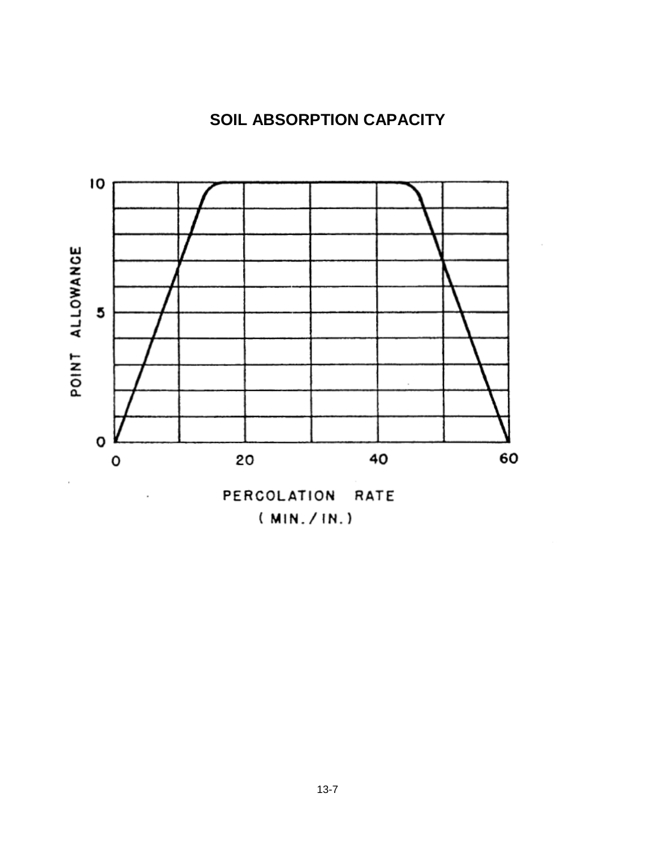# **SOIL ABSORPTION CAPACITY**



 $(MIN./IN.)$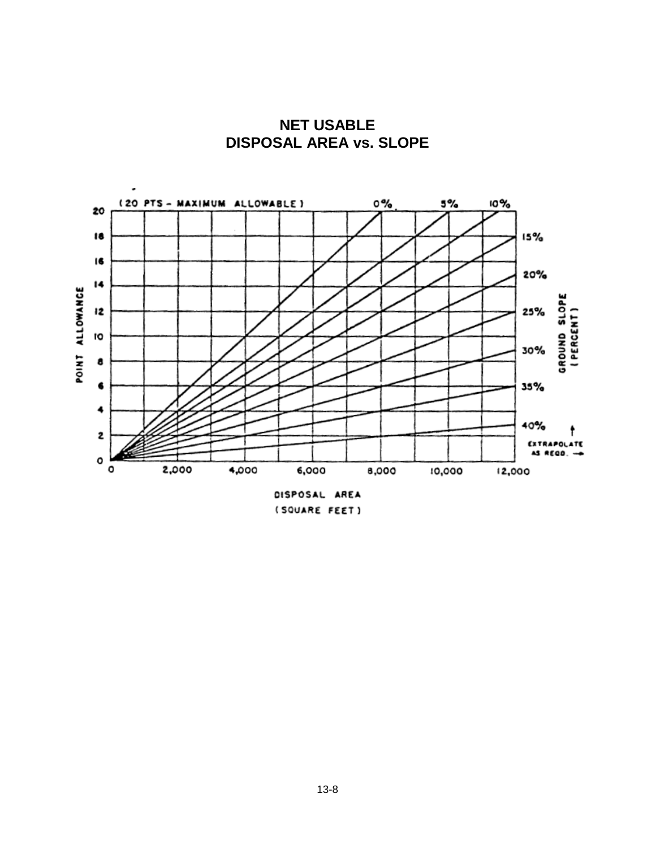

**NET USABLE DISPOSAL AREA vs. SLOPE**

(SQUARE FEET)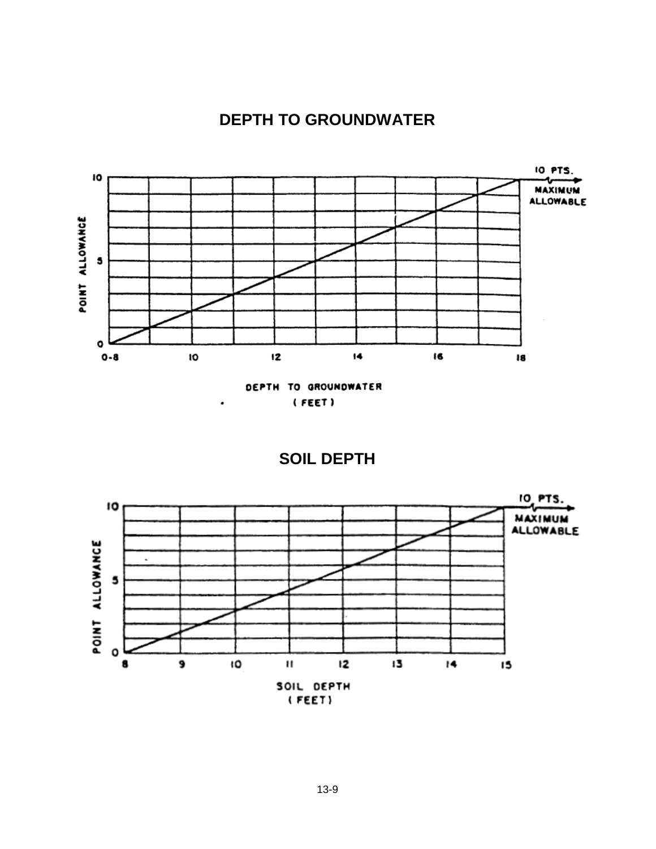



(FEET)

٠

**SOIL DEPTH**